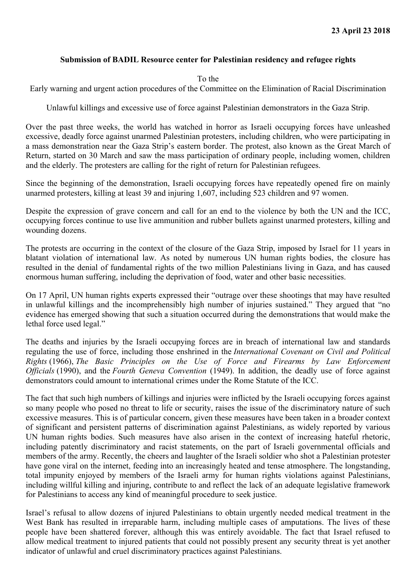## Submission of BADIL Resource center for Palestinian residency and refugee rights

To the

Early warning and urgent action procedures of the Committee on the Elimination of Racial Discrimination

Unlawful killings and excessive use of force against Palestinian demonstrators in the Gaza Strip.

Over the past three weeks, the world has watched in horror as Israeli occupying forces have unleashed excessive, deadly force against unarmed Palestinian protesters, including children, who were participating in a mass demonstration near the Gaza Strip's eastern border. The protest, also known as the Great March of Return, started on 30 March and saw the mass participation of ordinary people, including women, children and the elderly. The protesters are calling for the right of return for Palestinian refugees.

Since the beginning of the demonstration, Israeli occupying forces have repeatedly opened fire on mainly unarmed protesters, killing at least 39 and injuring 1,607, including 523 children and 97 women.

Despite the expression of grave concern and call for an end to the violence by both the UN and the ICC, occupying forces continue to use live ammunition and rubber bullets against unarmed protesters, killing and wounding dozens.

The protests are occurring in the context of the closure of the Gaza Strip, imposed by Israel for 11 years in blatant violation of international law. As noted by numerous UN human rights bodies, the closure has resulted in the denial of fundamental rights of the two million Palestinians living in Gaza, and has caused enormous human suffering, including the deprivation of food, water and other basic necessities.

On 17 April, UN human rights experts expressed their "outrage over these shootings that may have resulted in unlawful killings and the incomprehensibly high number of injuries sustained." They argued that "no evidence has emerged showing that such a situation occurred during the demonstrations that would make the lethal force used legal."

The deaths and injuries by the Israeli occupying forces are in breach of international law and standards regulating the use of force, including those enshrined in the *International Covenant on Civil and Political Rights* (1966), *The Basic Principles on the Use of Force and Firearms by Law Enforcement Officials* (1990), and the *Fourth Geneva Convention* (1949). In addition, the deadly use of force against demonstrators could amount to international crimes under the Rome Statute of the ICC.

The fact that such high numbers of killings and injuries were inflicted by the Israeli occupying forces against so many people who posed no threat to life or security, raises the issue of the discriminatory nature of such excessive measures. This is of particular concern, given these measures have been taken in a broader context of significant and persistent patterns of discrimination against Palestinians, as widely reported by various UN human rights bodies. Such measures have also arisen in the context of increasing hateful rhetoric, including patently discriminatory and racist statements, on the part of Israeli governmental officials and members of the army. Recently, the cheers and laughter of the Israeli soldier who shot a Palestinian protester have gone viral on the internet, feeding into an increasingly heated and tense atmosphere. The longstanding, total impunity enjoyed by members of the Israeli army for human rights violations against Palestinians, including willful killing and injuring, contribute to and reflect the lack of an adequate legislative framework for Palestinians to access any kind of meaningful procedure to seek justice.

Israel's refusal to allow dozens of injured Palestinians to obtain urgently needed medical treatment in the West Bank has resulted in irreparable harm, including multiple cases of amputations. The lives of these people have been shattered forever, although this was entirely avoidable. The fact that Israel refused to allow medical treatment to injured patients that could not possibly present any security threat is yet another indicator of unlawful and cruel discriminatory practices against Palestinians.